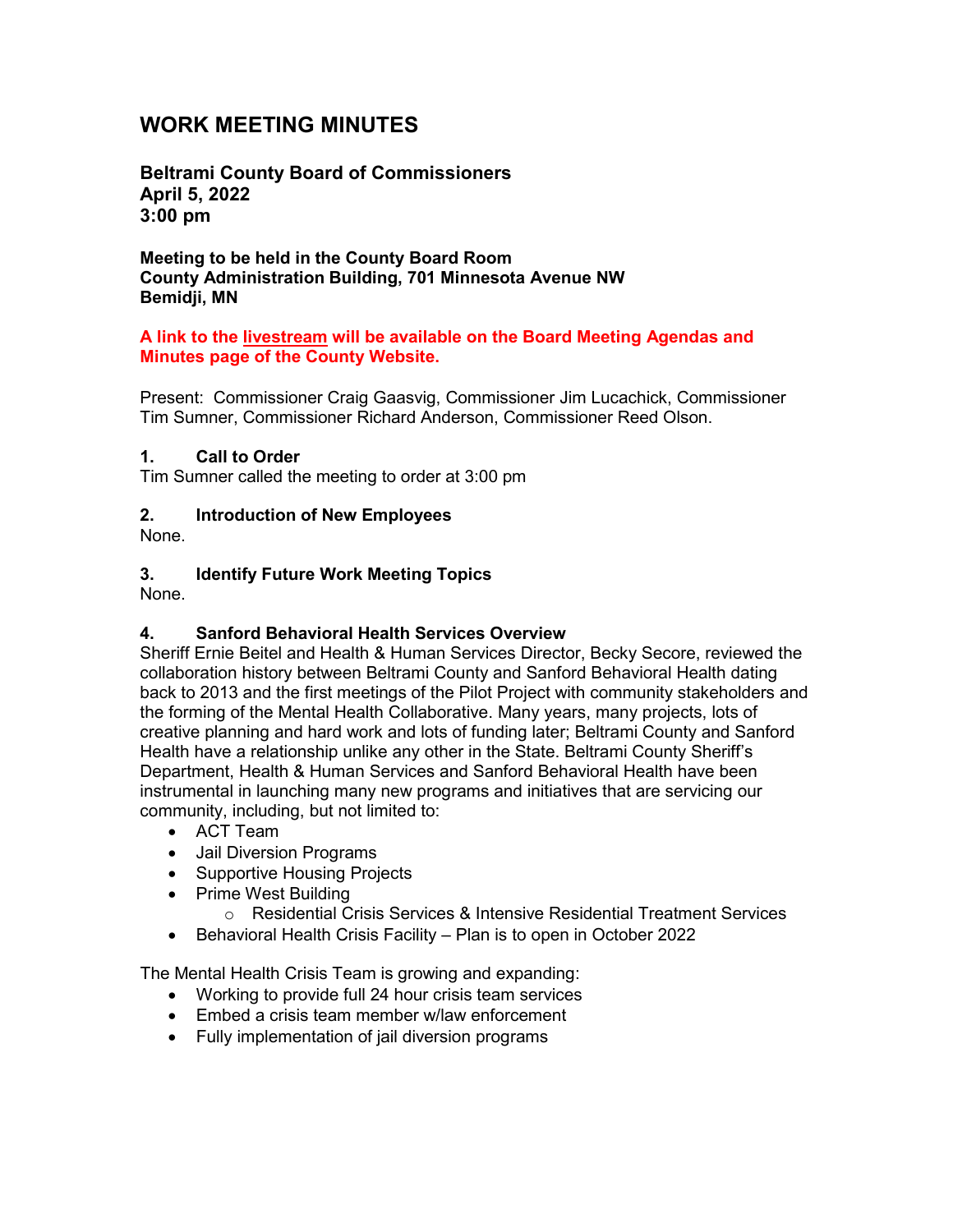# **WORK MEETING MINUTES**

**Beltrami County Board of Commissioners April 5, 2022 3:00 pm**

**Meeting to be held in the County Board Room County Administration Building, 701 Minnesota Avenue NW Bemidji, MN**

#### **A link to the livestream will be available on the Board Meeting Agendas and Minutes page of the County Website.**

Present: Commissioner Craig Gaasvig, Commissioner Jim Lucachick, Commissioner Tim Sumner, Commissioner Richard Anderson, Commissioner Reed Olson.

#### **1. Call to Order**

Tim Sumner called the meeting to order at 3:00 pm

#### **2. Introduction of New Employees**

None.

### **3. Identify Future Work Meeting Topics**

None.

### **4. Sanford Behavioral Health Services Overview**

Sheriff Ernie Beitel and Health & Human Services Director, Becky Secore, reviewed the collaboration history between Beltrami County and Sanford Behavioral Health dating back to 2013 and the first meetings of the Pilot Project with community stakeholders and the forming of the Mental Health Collaborative. Many years, many projects, lots of creative planning and hard work and lots of funding later; Beltrami County and Sanford Health have a relationship unlike any other in the State. Beltrami County Sheriff's Department, Health & Human Services and Sanford Behavioral Health have been instrumental in launching many new programs and initiatives that are servicing our community, including, but not limited to:

- ACT Team
- Jail Diversion Programs
- Supportive Housing Projects
- Prime West Building
	- o Residential Crisis Services & Intensive Residential Treatment Services
- Behavioral Health Crisis Facility Plan is to open in October 2022

The Mental Health Crisis Team is growing and expanding:

- Working to provide full 24 hour crisis team services
- Embed a crisis team member w/law enforcement
- Fully implementation of jail diversion programs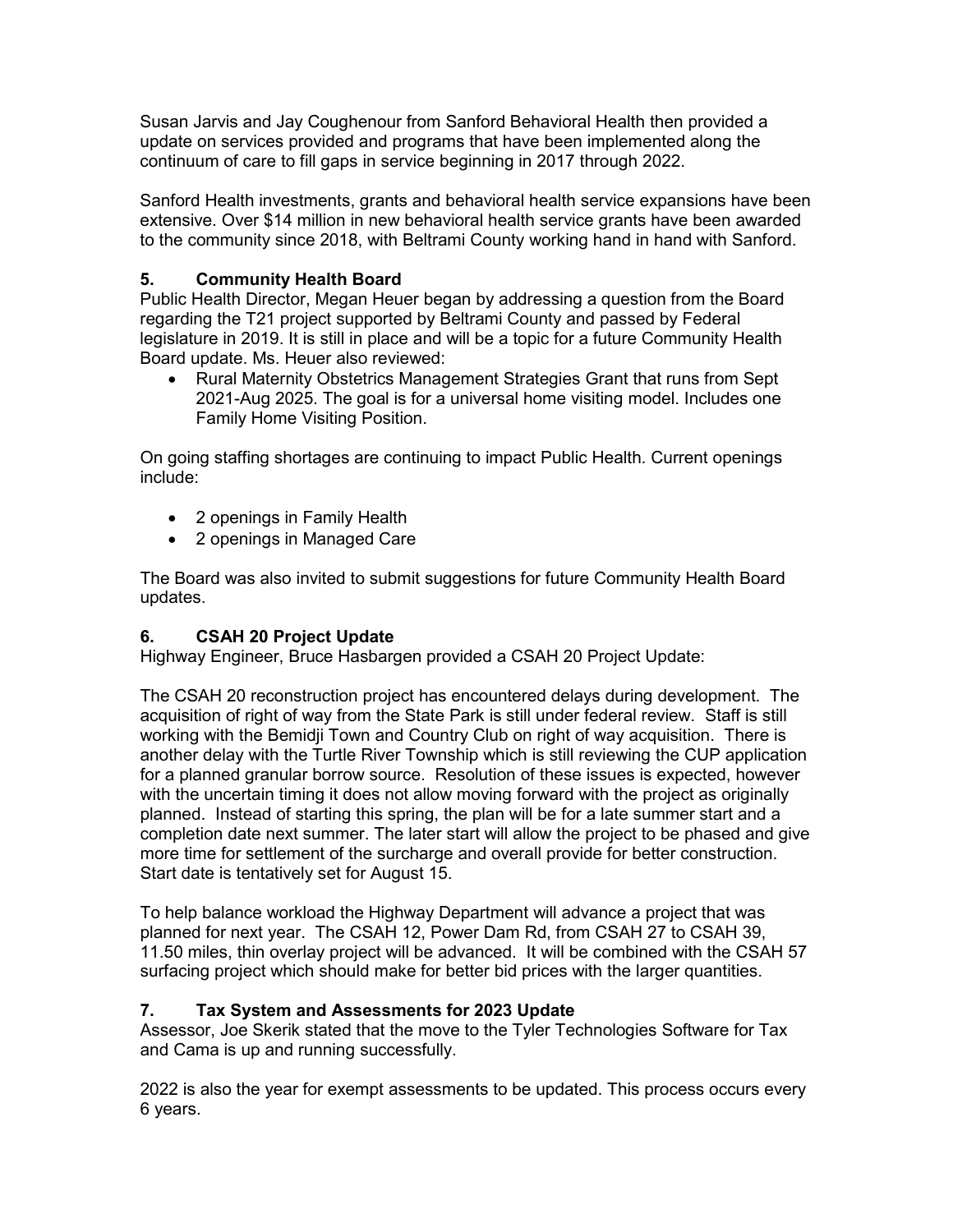Susan Jarvis and Jay Coughenour from Sanford Behavioral Health then provided a update on services provided and programs that have been implemented along the continuum of care to fill gaps in service beginning in 2017 through 2022.

Sanford Health investments, grants and behavioral health service expansions have been extensive. Over \$14 million in new behavioral health service grants have been awarded to the community since 2018, with Beltrami County working hand in hand with Sanford.

### **5. Community Health Board**

Public Health Director, Megan Heuer began by addressing a question from the Board regarding the T21 project supported by Beltrami County and passed by Federal legislature in 2019. It is still in place and will be a topic for a future Community Health Board update. Ms. Heuer also reviewed:

• Rural Maternity Obstetrics Management Strategies Grant that runs from Sept 2021-Aug 2025. The goal is for a universal home visiting model. Includes one Family Home Visiting Position.

On going staffing shortages are continuing to impact Public Health. Current openings include:

- 2 openings in Family Health
- 2 openings in Managed Care

The Board was also invited to submit suggestions for future Community Health Board updates.

### **6. CSAH 20 Project Update**

Highway Engineer, Bruce Hasbargen provided a CSAH 20 Project Update:

The CSAH 20 reconstruction project has encountered delays during development. The acquisition of right of way from the State Park is still under federal review. Staff is still working with the Bemidji Town and Country Club on right of way acquisition. There is another delay with the Turtle River Township which is still reviewing the CUP application for a planned granular borrow source. Resolution of these issues is expected, however with the uncertain timing it does not allow moving forward with the project as originally planned. Instead of starting this spring, the plan will be for a late summer start and a completion date next summer. The later start will allow the project to be phased and give more time for settlement of the surcharge and overall provide for better construction. Start date is tentatively set for August 15.

To help balance workload the Highway Department will advance a project that was planned for next year. The CSAH 12, Power Dam Rd, from CSAH 27 to CSAH 39, 11.50 miles, thin overlay project will be advanced. It will be combined with the CSAH 57 surfacing project which should make for better bid prices with the larger quantities.

### **7. Tax System and Assessments for 2023 Update**

Assessor, Joe Skerik stated that the move to the Tyler Technologies Software for Tax and Cama is up and running successfully.

2022 is also the year for exempt assessments to be updated. This process occurs every 6 years.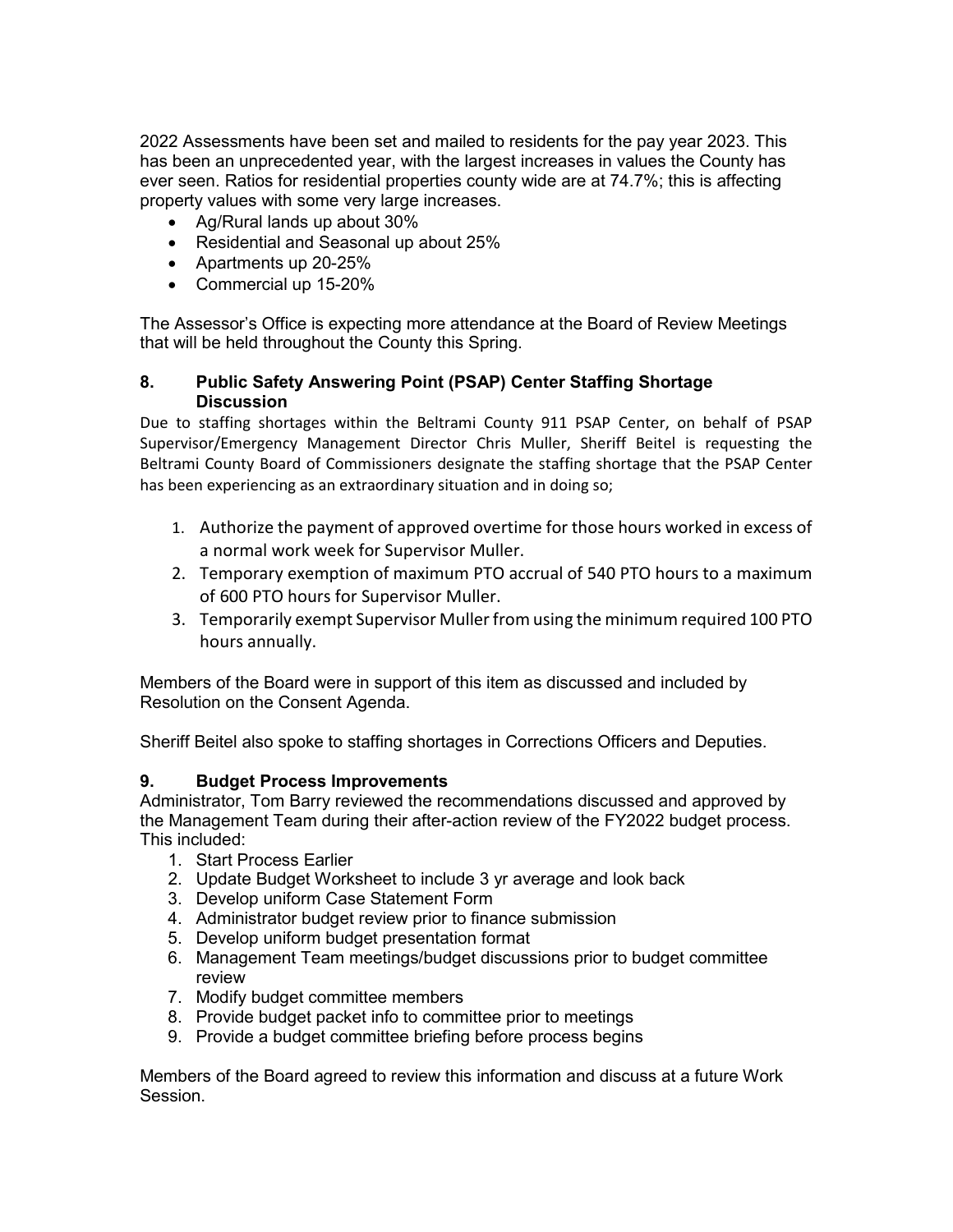2022 Assessments have been set and mailed to residents for the pay year 2023. This has been an unprecedented year, with the largest increases in values the County has ever seen. Ratios for residential properties county wide are at 74.7%; this is affecting property values with some very large increases.

- Ag/Rural lands up about 30%
- Residential and Seasonal up about 25%
- Apartments up 20-25%
- Commercial up 15-20%

The Assessor's Office is expecting more attendance at the Board of Review Meetings that will be held throughout the County this Spring.

#### **8. Public Safety Answering Point (PSAP) Center Staffing Shortage Discussion**

Due to staffing shortages within the Beltrami County 911 PSAP Center, on behalf of PSAP Supervisor/Emergency Management Director Chris Muller, Sheriff Beitel is requesting the Beltrami County Board of Commissioners designate the staffing shortage that the PSAP Center has been experiencing as an extraordinary situation and in doing so;

- 1. Authorize the payment of approved overtime for those hours worked in excess of a normal work week for Supervisor Muller.
- 2. Temporary exemption of maximum PTO accrual of 540 PTO hours to a maximum of 600 PTO hours for Supervisor Muller.
- 3. Temporarily exempt Supervisor Muller from using the minimum required 100 PTO hours annually.

Members of the Board were in support of this item as discussed and included by Resolution on the Consent Agenda.

Sheriff Beitel also spoke to staffing shortages in Corrections Officers and Deputies.

#### **9. Budget Process Improvements**

Administrator, Tom Barry reviewed the recommendations discussed and approved by the Management Team during their after-action review of the FY2022 budget process. This included:

- 1. Start Process Earlier
- 2. Update Budget Worksheet to include 3 yr average and look back
- 3. Develop uniform Case Statement Form
- 4. Administrator budget review prior to finance submission
- 5. Develop uniform budget presentation format
- 6. Management Team meetings/budget discussions prior to budget committee review
- 7. Modify budget committee members
- 8. Provide budget packet info to committee prior to meetings
- 9. Provide a budget committee briefing before process begins

Members of the Board agreed to review this information and discuss at a future Work Session.